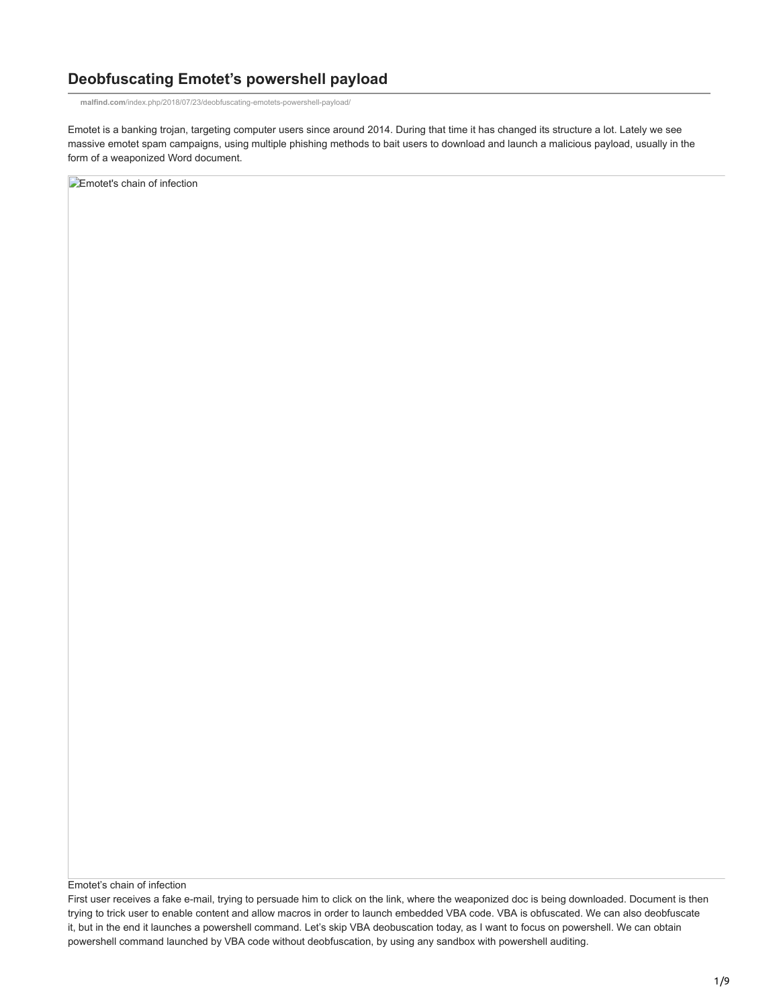# **Deobfuscating Emotet's powershell payload**

**malfind.com**[/index.php/2018/07/23/deobfuscating-emotets-powershell-payload/](https://malfind.com/index.php/2018/07/23/deobfuscating-emotets-powershell-payload/)

Emotet is a banking trojan, targeting computer users since around 2014. During that time it has changed its structure a lot. Lately we see massive emotet spam campaigns, using multiple phishing methods to bait users to download and launch a malicious payload, usually in the form of a weaponized Word document.

**Emotet's chain of infection** 

Emotet's chain of infection

First user receives a fake e-mail, trying to persuade him to click on the link, where the weaponized doc is being downloaded. Document is then trying to trick user to enable content and allow macros in order to launch embedded VBA code. VBA is obfuscated. We can also deobfuscate it, but in the end it launches a powershell command. Let's skip VBA deobuscation today, as I want to focus on powershell. We can obtain powershell command launched by VBA code without deobfuscation, by using any sandbox with powershell auditing.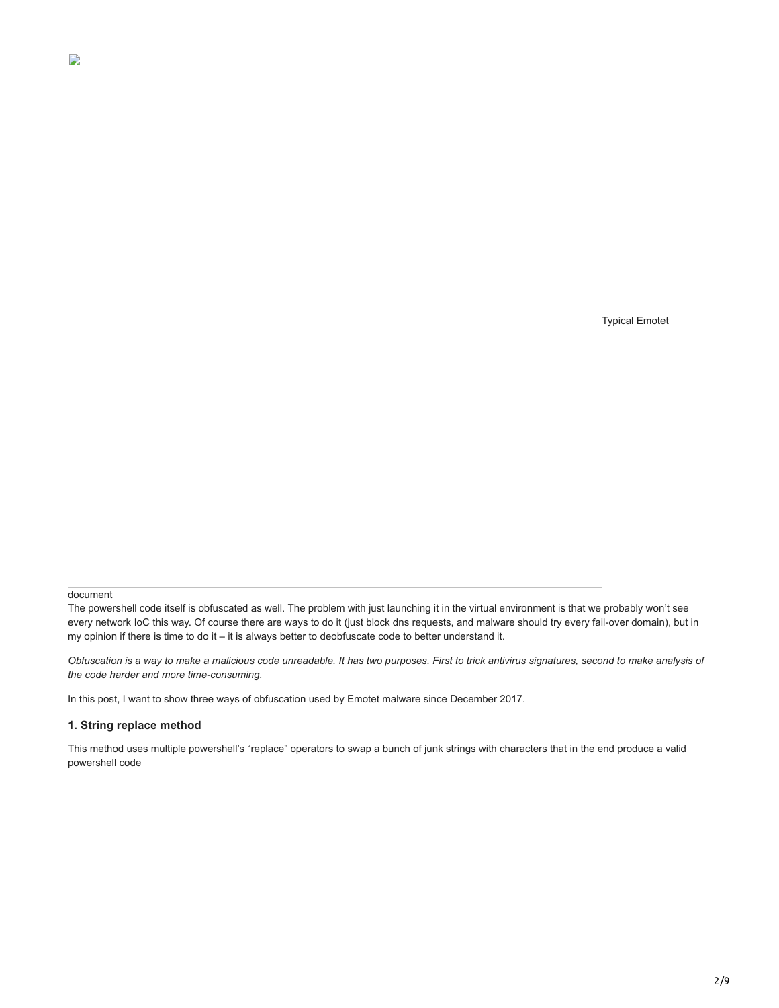Typical Emotet

#### document

D

The powershell code itself is obfuscated as well. The problem with just launching it in the virtual environment is that we probably won't see every network IoC this way. Of course there are ways to do it (just block dns requests, and malware should try every fail-over domain), but in my opinion if there is time to do it – it is always better to deobfuscate code to better understand it.

*Obfuscation is a way to make a malicious code unreadable. It has two purposes. First to trick antivirus signatures, second to make analysis of the code harder and more time-consuming.*

In this post, I want to show three ways of obfuscation used by Emotet malware since December 2017.

#### **1. String replace method**

This method uses multiple powershell's "replace" operators to swap a bunch of junk strings with characters that in the end produce a valid powershell code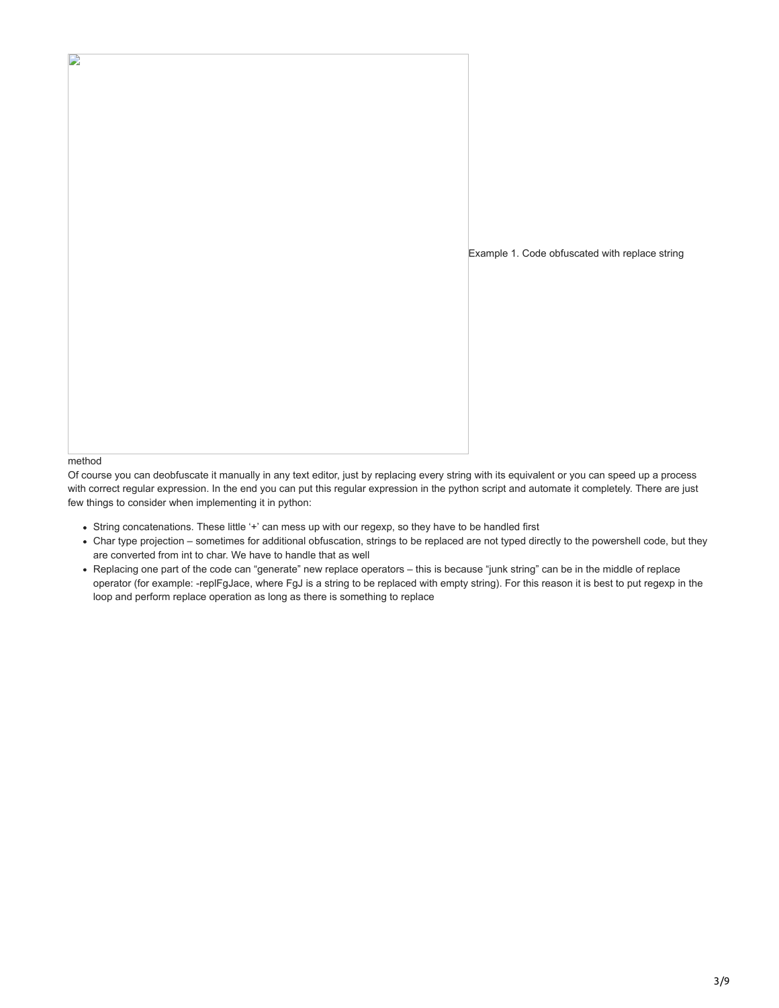

method

D

Of course you can deobfuscate it manually in any text editor, just by replacing every string with its equivalent or you can speed up a process with correct regular expression. In the end you can put this regular expression in the python script and automate it completely. There are just few things to consider when implementing it in python:

- String concatenations. These little '+' can mess up with our regexp, so they have to be handled first
- Char type projection sometimes for additional obfuscation, strings to be replaced are not typed directly to the powershell code, but they are converted from int to char. We have to handle that as well
- Replacing one part of the code can "generate" new replace operators this is because "junk string" can be in the middle of replace operator (for example: -replFgJace, where FgJ is a string to be replaced with empty string). For this reason it is best to put regexp in the loop and perform replace operation as long as there is something to replace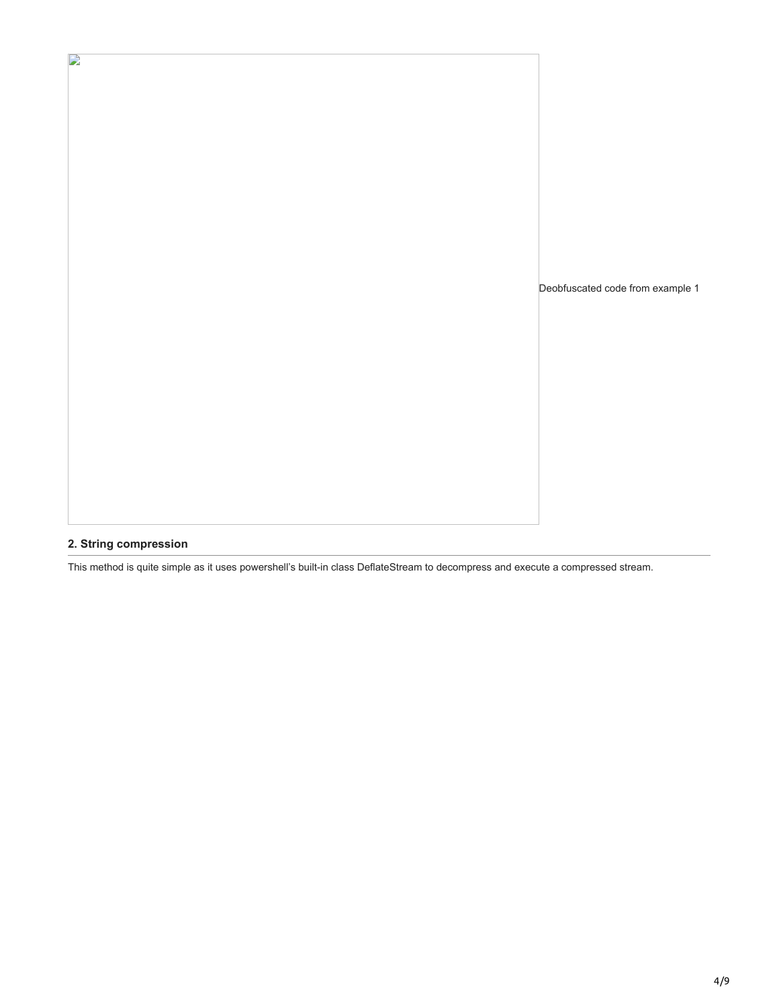Deobfuscated code from example 1

## **2. String compression**

 $\mathbf{L}$ 

This method is quite simple as it uses powershell's built-in class DeflateStream to decompress and execute a compressed stream.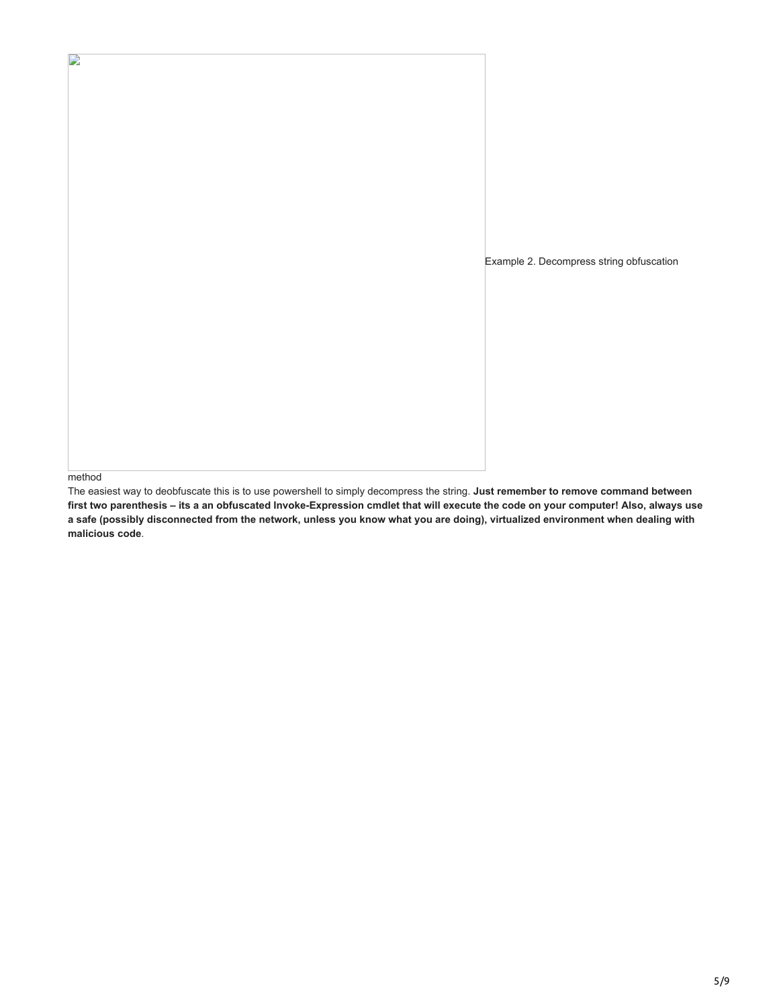Example 2. Decompress string obfuscation

method

D

The easiest way to deobfuscate this is to use powershell to simply decompress the string. **Just remember to remove command between first two parenthesis – its a an obfuscated Invoke-Expression cmdlet that will execute the code on your computer! Also, always use a safe (possibly disconnected from the network, unless you know what you are doing), virtualized environment when dealing with malicious code**.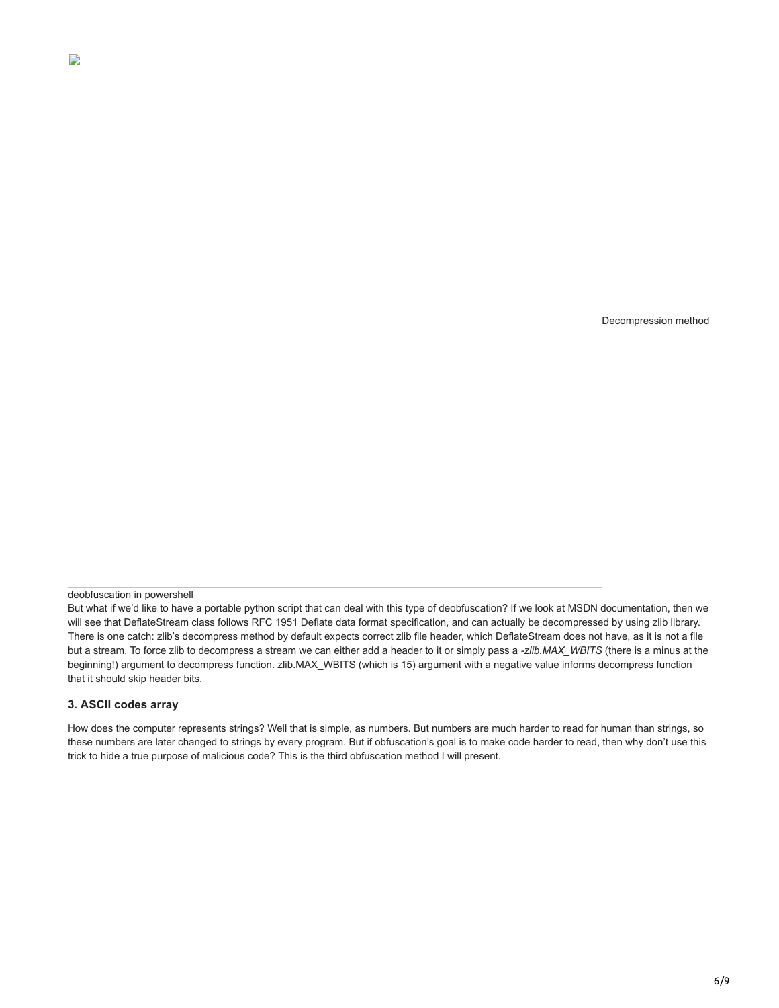Decompression method

deobfuscation in powershell

D

But what if we'd like to have a portable python script that can deal with this type of deobfuscation? If we look at MSDN documentation, then we will see that DeflateStream class follows RFC 1951 Deflate data format specification, and can actually be decompressed by using zlib library. There is one catch: zlib's decompress method by default expects correct zlib file header, which DeflateStream does not have, as it is not a file but a stream. To force zlib to decompress a stream we can either add a header to it or simply pass a *-zlib.MAX\_WBITS* (there is a minus at the beginning!) argument to decompress function. zlib.MAX\_WBITS (which is 15) argument with a negative value informs decompress function that it should skip header bits.

### **3. ASCII codes array**

How does the computer represents strings? Well that is simple, as numbers. But numbers are much harder to read for human than strings, so these numbers are later changed to strings by every program. But if obfuscation's goal is to make code harder to read, then why don't use this trick to hide a true purpose of malicious code? This is the third obfuscation method I will present.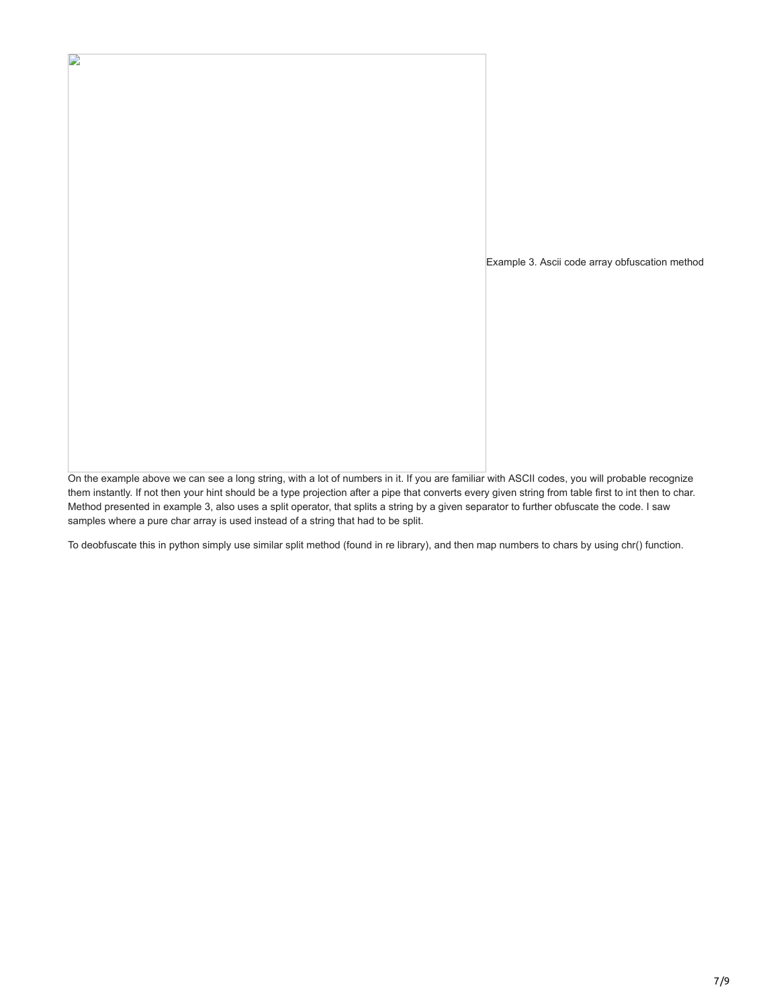Example 3. Ascii code array obfuscation method

D

On the example above we can see a long string, with a lot of numbers in it. If you are familiar with ASCII codes, you will probable recognize them instantly. If not then your hint should be a type projection after a pipe that converts every given string from table first to int then to char. Method presented in example 3, also uses a split operator, that splits a string by a given separator to further obfuscate the code. I saw samples where a pure char array is used instead of a string that had to be split.

To deobfuscate this in python simply use similar split method (found in re library), and then map numbers to chars by using chr() function.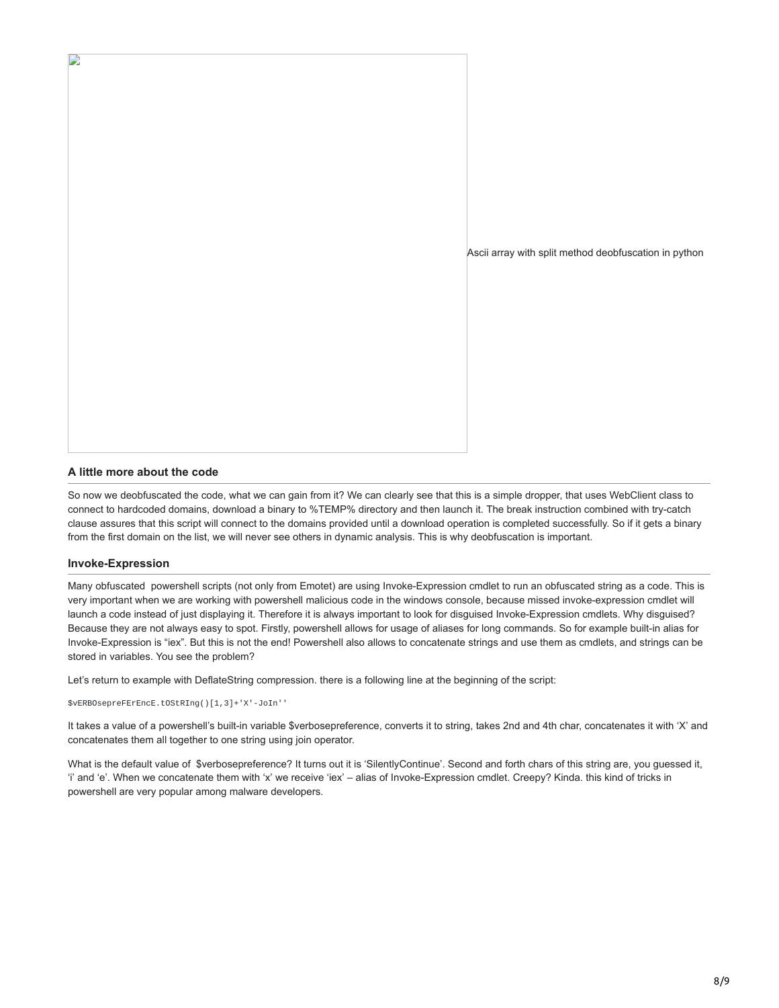

### **A little more about the code**

So now we deobfuscated the code, what we can gain from it? We can clearly see that this is a simple dropper, that uses WebClient class to connect to hardcoded domains, download a binary to %TEMP% directory and then launch it. The break instruction combined with try-catch clause assures that this script will connect to the domains provided until a download operation is completed successfully. So if it gets a binary from the first domain on the list, we will never see others in dynamic analysis. This is why deobfuscation is important.

#### **Invoke-Expression**

D

Many obfuscated powershell scripts (not only from Emotet) are using Invoke-Expression cmdlet to run an obfuscated string as a code. This is very important when we are working with powershell malicious code in the windows console, because missed invoke-expression cmdlet will launch a code instead of just displaying it. Therefore it is always important to look for disguised Invoke-Expression cmdlets. Why disguised? Because they are not always easy to spot. Firstly, powershell allows for usage of aliases for long commands. So for example built-in alias for Invoke-Expression is "iex". But this is not the end! Powershell also allows to concatenate strings and use them as cmdlets, and strings can be stored in variables. You see the problem?

Let's return to example with DeflateString compression. there is a following line at the beginning of the script:

\$vERBOsepreFErEncE.tOStRIng()[1,3]+'X'-JoIn''

It takes a value of a powershell's built-in variable \$verbosepreference, converts it to string, takes 2nd and 4th char, concatenates it with 'X' and concatenates them all together to one string using join operator.

What is the default value of \$verbosepreference? It turns out it is 'SilentlyContinue'. Second and forth chars of this string are, you guessed it, 'i' and 'e'. When we concatenate them with 'x' we receive 'iex' – alias of Invoke-Expression cmdlet. Creepy? Kinda. this kind of tricks in powershell are very popular among malware developers.